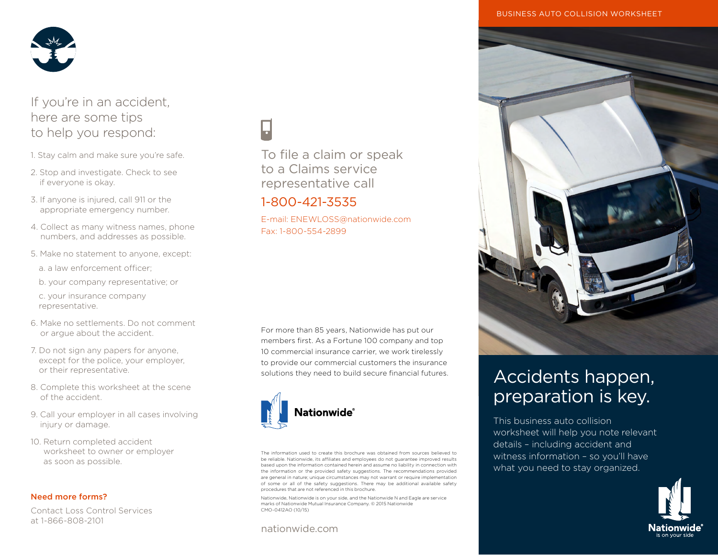

# If you're in an accident, here are some tips to help you respond:

- 1. Stay calm and make sure you're safe.
- 2. Stop and investigate. Check to see if everyone is okay.
- 3. If anyone is injured, call 911 or the appropriate emergency number.
- 4. Collect as many witness names, phone numbers, and addresses as possible.
- 5. Make no statement to anyone, except:
	- a. a law enforcement officer;
	- b. your company representative; or

c. your insurance company representative.

- 6. Make no settlements. Do not comment or argue about the accident.
- 7. Do not sign any papers for anyone, except for the police, your employer, or their representative.
- 8. Complete this worksheet at the scene of the accident.
- 9. Call your employer in all cases involving injury or damage.
- 10. Return completed accident worksheet to owner or employer as soon as possible.

## Need more forms?

Contact Loss Control Services at 1-866-808-2101

To file a claim or speak to a Claims service representative call

## 1-800-421-3535

E-mail: ENEWLOSS@nationwide.com Fax: 1-800-554-2899

For more than 85 years, Nationwide has put our members first. As a Fortune 100 company and top 10 commercial insurance carrier, we work tirelessly to provide our commercial customers the insurance solutions they need to build secure financial futures.



The information used to create this brochure was obtained from sources believed to be reliable. Nationwide, its affiliates and employees do not guarantee improved results based upon the information contained herein and assume no liability in connection with the information or the provided safety suggestions. The recommendations provided are general in nature; unique circumstances may not warrant or require implementation of some or all of the safety suggestions. There may be additional available safety procedures that are not referenced in this brochure.

Nationwide, Nationwide is on your side, and the Nationwide N and Eagle are service marks of Nationwide Mutual Insurance Company. © 2015 Nationwide CMO-0412AO (10/15)

## nationwide.com



# Accidents happen, preparation is key.

This business auto collision worksheet will help you note relevant details – including accident and witness information – so you'll have what you need to stay organized.